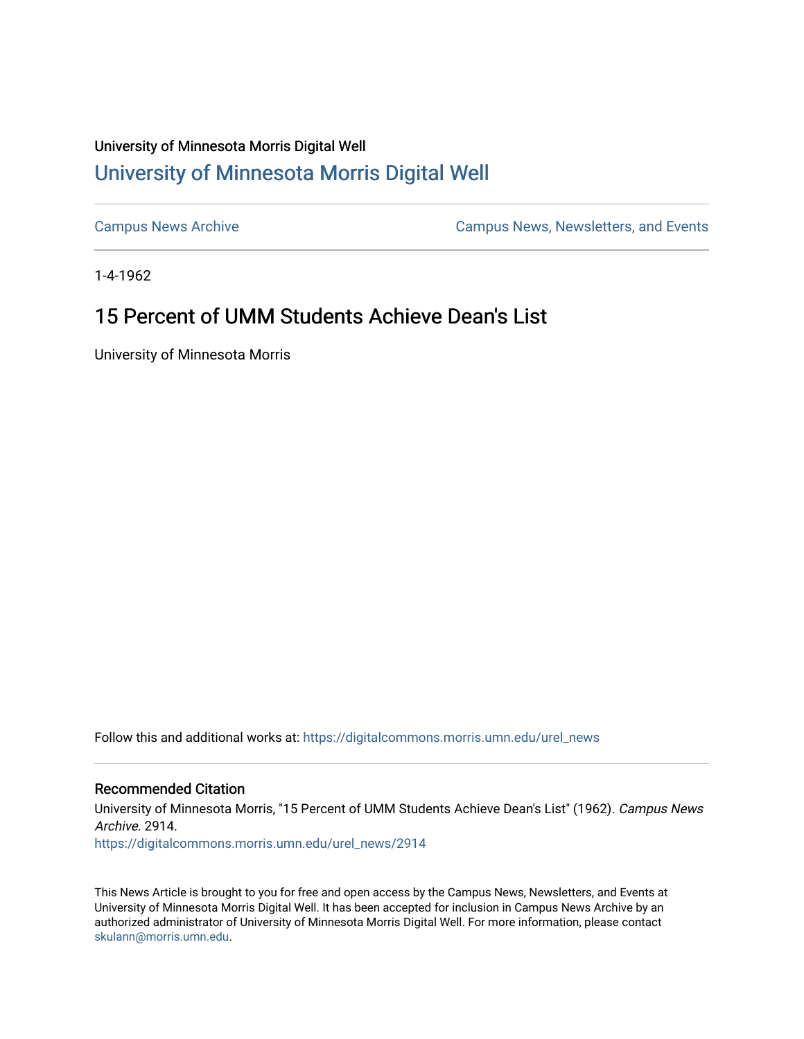## University of Minnesota Morris Digital Well [University of Minnesota Morris Digital Well](https://digitalcommons.morris.umn.edu/)

[Campus News Archive](https://digitalcommons.morris.umn.edu/urel_news) [Campus News, Newsletters, and Events](https://digitalcommons.morris.umn.edu/externalrel) 

1-4-1962

# 15 Percent of UMM Students Achieve Dean's List

University of Minnesota Morris

Follow this and additional works at: [https://digitalcommons.morris.umn.edu/urel\\_news](https://digitalcommons.morris.umn.edu/urel_news?utm_source=digitalcommons.morris.umn.edu%2Furel_news%2F2914&utm_medium=PDF&utm_campaign=PDFCoverPages) 

## Recommended Citation

University of Minnesota Morris, "15 Percent of UMM Students Achieve Dean's List" (1962). Campus News Archive. 2914.

[https://digitalcommons.morris.umn.edu/urel\\_news/2914](https://digitalcommons.morris.umn.edu/urel_news/2914?utm_source=digitalcommons.morris.umn.edu%2Furel_news%2F2914&utm_medium=PDF&utm_campaign=PDFCoverPages) 

This News Article is brought to you for free and open access by the Campus News, Newsletters, and Events at University of Minnesota Morris Digital Well. It has been accepted for inclusion in Campus News Archive by an authorized administrator of University of Minnesota Morris Digital Well. For more information, please contact [skulann@morris.umn.edu.](mailto:skulann@morris.umn.edu)